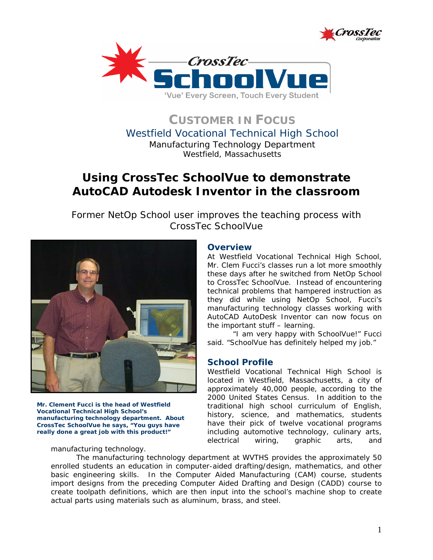



**CUSTOMER IN FOCUS** Westfield Vocational Technical High School Manufacturing Technology Department *Westfield, Massachusetts*

# **Using CrossTec SchoolVue to demonstrate AutoCAD Autodesk Inventor in the classroom**

*Former NetOp School user improves the teaching process with CrossTec SchoolVue* 



*Mr. Clement Fucci is the head of Westfield Vocational Technical High School's manufacturing technology department. About CrossTec SchoolVue he says, "You guys have really done a great job with this product!"* 

manufacturing technology.

## **Overview**

At Westfield Vocational Technical High School, Mr. Clem Fucci's classes run a lot more smoothly these days after he switched from NetOp School to CrossTec SchoolVue. Instead of encountering technical problems that hampered instruction as they did while using NetOp School, Fucci's manufacturing technology classes working with AutoCAD AutoDesk Inventor can now focus on the important stuff – learning.

 "I am very happy with SchoolVue!" Fucci said. "SchoolVue has definitely helped my job."

## **School Profile**

Westfield Vocational Technical High School is located in Westfield, Massachusetts, a city of approximately 40,000 people, according to the 2000 United States Census. In addition to the traditional high school curriculum of English, history, science, and mathematics, students have their pick of twelve vocational programs including automotive technology, culinary arts, electrical wiring, graphic arts, and

The manufacturing technology department at WVTHS provides the approximately 50 enrolled students an education in computer-aided drafting/design, mathematics, and other basic engineering skills. In the Computer Aided Manufacturing (CAM) course, students import designs from the preceding Computer Aided Drafting and Design (CADD) course to create toolpath definitions, which are then input into the school's machine shop to create actual parts using materials such as aluminum, brass, and steel.